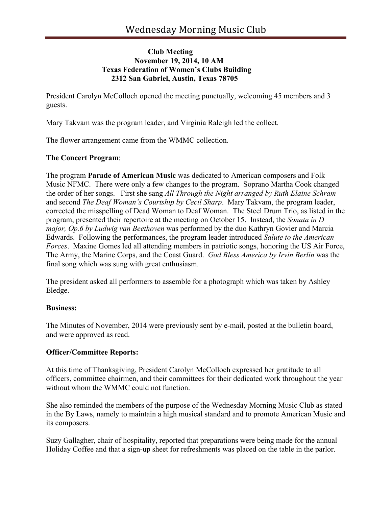# **Club Meeting November 19, 2014, 10 AM Texas Federation of Women's Clubs Building 2312 San Gabriel, Austin, Texas 78705**

President Carolyn McColloch opened the meeting punctually, welcoming 45 members and 3 guests.

Mary Takvam was the program leader, and Virginia Raleigh led the collect.

The flower arrangement came from the WMMC collection.

### **The Concert Program**:

The program **Parade of American Music** was dedicated to American composers and Folk Music NFMC. There were only a few changes to the program. Soprano Martha Cook changed the order of her songs. First she sang *All Through the Night arranged by Ruth Elaine Schram* and second *The Deaf Woman's Courtship by Cecil Sharp*. Mary Takvam, the program leader, corrected the misspelling of Dead Woman to Deaf Woman. The Steel Drum Trio, as listed in the program, presented their repertoire at the meeting on October 15. Instead, the *Sonata in D major, Op.6 by Ludwig van Beethoven* was performed by the duo Kathryn Govier and Marcia Edwards. Following the performances, the program leader introduced *Salute to the American Forces*. Maxine Gomes led all attending members in patriotic songs, honoring the US Air Force, The Army, the Marine Corps, and the Coast Guard. *God Bless America by Irvin Berlin* was the final song which was sung with great enthusiasm.

The president asked all performers to assemble for a photograph which was taken by Ashley Eledge.

#### **Business:**

The Minutes of November, 2014 were previously sent by e-mail, posted at the bulletin board, and were approved as read.

#### **Officer/Committee Reports:**

At this time of Thanksgiving, President Carolyn McColloch expressed her gratitude to all officers, committee chairmen, and their committees for their dedicated work throughout the year without whom the WMMC could not function.

She also reminded the members of the purpose of the Wednesday Morning Music Club as stated in the By Laws, namely to maintain a high musical standard and to promote American Music and its composers.

Suzy Gallagher, chair of hospitality, reported that preparations were being made for the annual Holiday Coffee and that a sign-up sheet for refreshments was placed on the table in the parlor.